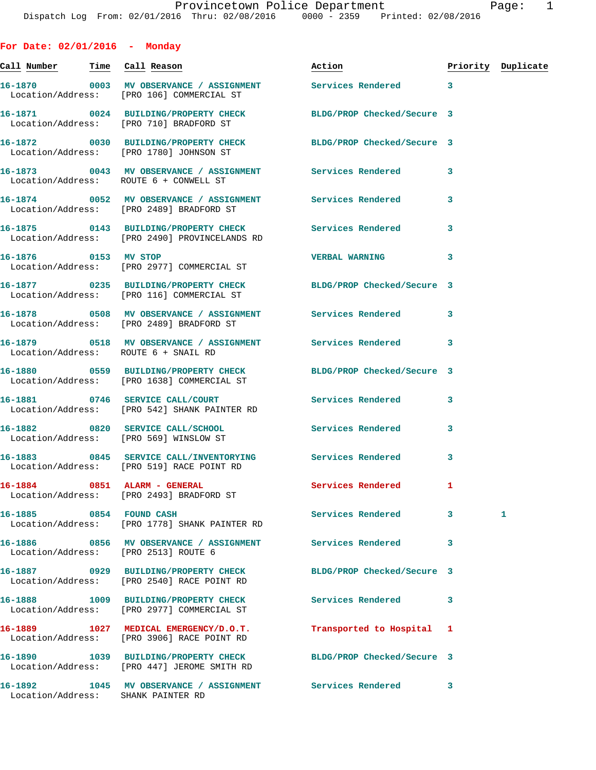**For Date: 02/01/2016 - Monday Call Number Time Call Reason Action Priority Duplicate 16-1870 0003 MV OBSERVANCE / ASSIGNMENT Services Rendered 3**  Location/Address: [PRO 106] COMMERCIAL ST **16-1871 0024 BUILDING/PROPERTY CHECK BLDG/PROP Checked/Secure 3**  Location/Address: [PRO 710] BRADFORD ST **16-1872 0030 BUILDING/PROPERTY CHECK BLDG/PROP Checked/Secure 3**  Location/Address: [PRO 1780] JOHNSON ST **16-1873 0043 MV OBSERVANCE / ASSIGNMENT Services Rendered 3**  Location/Address: ROUTE 6 + CONWELL ST **16-1874 0052 MV OBSERVANCE / ASSIGNMENT Services Rendered 3**  Location/Address: [PRO 2489] BRADFORD ST **16-1875 0143 BUILDING/PROPERTY CHECK Services Rendered 3**  Location/Address: [PRO 2490] PROVINCELANDS RD **16-1876 0153 MV STOP VERBAL WARNING 3**  Location/Address: [PRO 2977] COMMERCIAL ST **16-1877 0235 BUILDING/PROPERTY CHECK BLDG/PROP Checked/Secure 3**  Location/Address: [PRO 116] COMMERCIAL ST **16-1878 0508 MV OBSERVANCE / ASSIGNMENT Services Rendered 3**  Location/Address: [PRO 2489] BRADFORD ST **16-1879 0518 MV OBSERVANCE / ASSIGNMENT Services Rendered 3**  Location/Address: ROUTE 6 + SNAIL RD **16-1880 0559 BUILDING/PROPERTY CHECK BLDG/PROP Checked/Secure 3**  Location/Address: [PRO 1638] COMMERCIAL ST **16-1881 0746 SERVICE CALL/COURT Services Rendered 3**  Location/Address: [PRO 542] SHANK PAINTER RD **16-1882 0820 SERVICE CALL/SCHOOL Services Rendered 3**  Location/Address: [PRO 569] WINSLOW ST **16-1883 0845 SERVICE CALL/INVENTORYING Services Rendered 3**  Location/Address: [PRO 519] RACE POINT RD **16-1884 0851 ALARM - GENERAL Services Rendered 1**  Location/Address: [PRO 2493] BRADFORD ST **16-1885 0854 FOUND CASH Services Rendered 3 1**  Location/Address: [PRO 1778] SHANK PAINTER RD **16-1886 0856 MV OBSERVANCE / ASSIGNMENT Services Rendered 3**  Location/Address: [PRO 2513] ROUTE 6 **16-1887 0929 BUILDING/PROPERTY CHECK BLDG/PROP Checked/Secure 3**  Location/Address: [PRO 2540] RACE POINT RD **16-1888 1009 BUILDING/PROPERTY CHECK Services Rendered 3**  Location/Address: [PRO 2977] COMMERCIAL ST **16-1889 1027 MEDICAL EMERGENCY/D.O.T. Transported to Hospital 1**  Location/Address: [PRO 3906] RACE POINT RD **16-1890 1039 BUILDING/PROPERTY CHECK BLDG/PROP Checked/Secure 3**  Location/Address: [PRO 447] JEROME SMITH RD **16-1892 1045 MV OBSERVANCE / ASSIGNMENT Services Rendered 3** 

Location/Address: SHANK PAINTER RD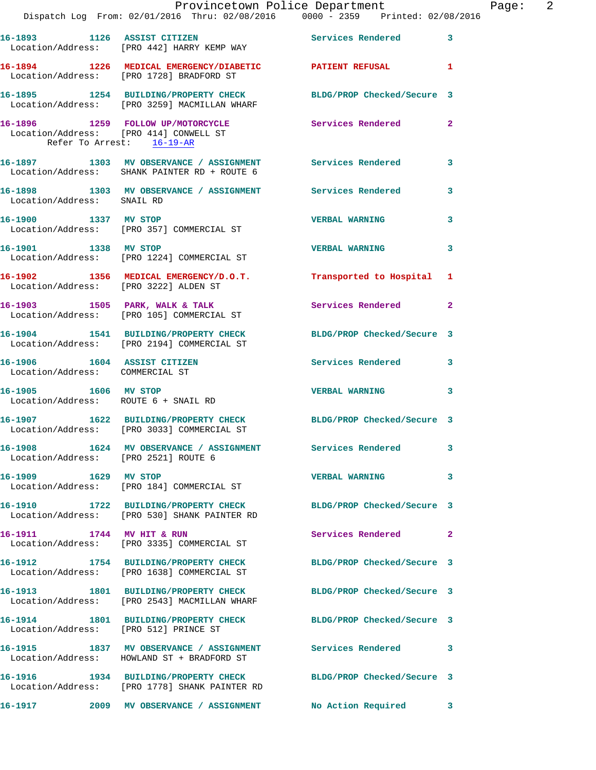|                                                                | Provincetown Police Department                                                                                  |                            |              |
|----------------------------------------------------------------|-----------------------------------------------------------------------------------------------------------------|----------------------------|--------------|
|                                                                | Dispatch Log From: 02/01/2016 Thru: 02/08/2016 0000 - 2359 Printed: 02/08/2016                                  |                            |              |
|                                                                |                                                                                                                 | Services Rendered          | 3            |
|                                                                | 16-1894 1226 MEDICAL EMERGENCY/DIABETIC PATIENT REFUSAL<br>Location/Address: [PRO 1728] BRADFORD ST             |                            | 1            |
|                                                                | 16-1895 1254 BUILDING/PROPERTY CHECK<br>Location/Address: [PRO 3259] MACMILLAN WHARF                            | BLDG/PROP Checked/Secure 3 |              |
| Refer To Arrest: 16-19-AR                                      | 16-1896 1259 FOLLOW UP/MOTORCYCLE Services Rendered<br>Location/Address: [PRO 414] CONWELL ST                   |                            | $\mathbf{2}$ |
|                                                                | 16-1897 1303 MV OBSERVANCE / ASSIGNMENT Services Rendered<br>Location/Address: SHANK PAINTER RD + ROUTE 6       |                            | 3            |
| Location/Address: SNAIL RD                                     | 16-1898 1303 MV OBSERVANCE / ASSIGNMENT Services Rendered                                                       |                            | 3            |
| 16-1900 1337 MV STOP                                           | Location/Address: [PRO 357] COMMERCIAL ST                                                                       | <b>VERBAL WARNING</b>      | 3            |
| 16-1901 1338 MV STOP                                           | Location/Address: [PRO 1224] COMMERCIAL ST                                                                      | <b>VERBAL WARNING</b>      | 3            |
| Location/Address: [PRO 3222] ALDEN ST                          | 16-1902 1356 MEDICAL EMERGENCY/D.O.T. Transported to Hospital                                                   |                            | 1            |
|                                                                | 16-1903 1505 PARK, WALK & TALK<br>Location/Address: [PRO 105] COMMERCIAL ST                                     | Services Rendered          | $\mathbf{2}$ |
|                                                                | 16-1904 1541 BUILDING/PROPERTY CHECK<br>Location/Address: [PRO 2194] COMMERCIAL ST                              | BLDG/PROP Checked/Secure 3 |              |
| 16-1906 1604 ASSIST CITIZEN<br>Location/Address: COMMERCIAL ST |                                                                                                                 | <b>Services Rendered</b>   | 3            |
| 16-1905 1606 MV STOP                                           | Location/Address: ROUTE 6 + SNAIL RD                                                                            | <b>VERBAL WARNING</b>      | 3            |
|                                                                | 16-1907 1622 BUILDING/PROPERTY CHECK BLDG/PROP Checked/Secure 3<br>Location/Address: [PRO 3033] COMMERCIAL ST   |                            |              |
| Location/Address: [PRO 2521] ROUTE 6                           | 16-1908 1624 MV OBSERVANCE / ASSIGNMENT Services Rendered                                                       |                            | 3            |
| 16-1909 1629 MV STOP                                           | Location/Address: [PRO 184] COMMERCIAL ST                                                                       | <b>VERBAL WARNING</b>      | 3            |
|                                                                | 16-1910 1722 BUILDING/PROPERTY CHECK BLDG/PROP Checked/Secure 3<br>Location/Address: [PRO 530] SHANK PAINTER RD |                            |              |
|                                                                | 16-1911 1744 MV HIT & RUN<br>Location/Address: [PRO 3335] COMMERCIAL ST                                         | Services Rendered          | $\mathbf{2}$ |
|                                                                | 16-1912 1754 BUILDING/PROPERTY CHECK<br>Location/Address: [PRO 1638] COMMERCIAL ST                              | BLDG/PROP Checked/Secure 3 |              |
|                                                                | 16-1913 1801 BUILDING/PROPERTY CHECK<br>Location/Address: [PRO 2543] MACMILLAN WHARF                            | BLDG/PROP Checked/Secure 3 |              |
| Location/Address: [PRO 512] PRINCE ST                          | 16-1914 1801 BUILDING/PROPERTY CHECK                                                                            | BLDG/PROP Checked/Secure 3 |              |
|                                                                | 16-1915 1837 MV OBSERVANCE / ASSIGNMENT Services Rendered<br>Location/Address: HOWLAND ST + BRADFORD ST         |                            | 3            |
|                                                                | 16-1916 1934 BUILDING/PROPERTY CHECK<br>Location/Address: [PRO 1778] SHANK PAINTER RD                           | BLDG/PROP Checked/Secure 3 |              |
|                                                                | 16-1917  2009 MV OBSERVANCE / ASSIGNMENT  No Action Required                                                    |                            | 3            |

Page: 2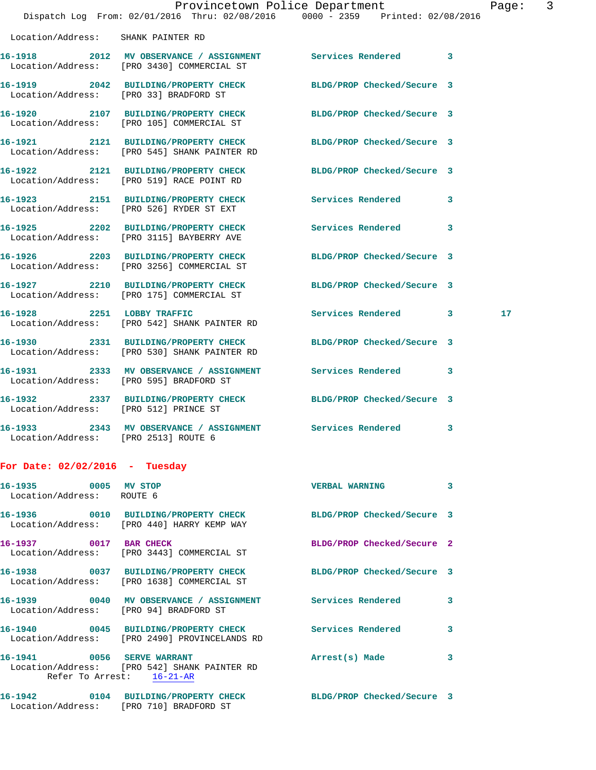|                                                   |                                                                                                                 | Provincetown Police Department |   | Page: 3         |  |
|---------------------------------------------------|-----------------------------------------------------------------------------------------------------------------|--------------------------------|---|-----------------|--|
|                                                   | Dispatch Log From: 02/01/2016 Thru: 02/08/2016 0000 - 2359 Printed: 02/08/2016                                  |                                |   |                 |  |
| Location/Address: SHANK PAINTER RD                |                                                                                                                 |                                |   |                 |  |
|                                                   | 16-1918  2012 MV OBSERVANCE / ASSIGNMENT Services Rendered 3<br>Location/Address: [PRO 3430] COMMERCIAL ST      |                                |   |                 |  |
| Location/Address: [PRO 33] BRADFORD ST            | 16-1919 2042 BUILDING/PROPERTY CHECK BLDG/PROP Checked/Secure 3                                                 |                                |   |                 |  |
|                                                   | 16-1920 2107 BUILDING/PROPERTY CHECK BLDG/PROP Checked/Secure 3<br>Location/Address: [PRO 105] COMMERCIAL ST    |                                |   |                 |  |
|                                                   | 16-1921 2121 BUILDING/PROPERTY CHECK BLDG/PROP Checked/Secure 3<br>Location/Address: [PRO 545] SHANK PAINTER RD |                                |   |                 |  |
|                                                   | 16-1922 2121 BUILDING/PROPERTY CHECK BLDG/PROP Checked/Secure 3<br>Location/Address: [PRO 519] RACE POINT RD    |                                |   |                 |  |
|                                                   | 16-1923 2151 BUILDING/PROPERTY CHECK Services Rendered 3<br>Location/Address: [PRO 526] RYDER ST EXT            |                                |   |                 |  |
|                                                   | 16-1925 2202 BUILDING/PROPERTY CHECK Services Rendered 3<br>Location/Address: [PRO 3115] BAYBERRY AVE           |                                |   |                 |  |
|                                                   | 16-1926 2203 BUILDING/PROPERTY CHECK<br>Location/Address: [PRO 3256] COMMERCIAL ST                              | BLDG/PROP Checked/Secure 3     |   |                 |  |
|                                                   | 16-1927 2210 BUILDING/PROPERTY CHECK BLDG/PROP Checked/Secure 3<br>Location/Address: [PRO 175] COMMERCIAL ST    |                                |   |                 |  |
|                                                   | 16-1928 2251 LOBBY TRAFFIC<br>Location/Address: [PRO 542] SHANK PAINTER RD                                      | Services Rendered 3            |   | 17 <sub>1</sub> |  |
|                                                   | 16-1930 2331 BUILDING/PROPERTY CHECK<br>Location/Address: [PRO 530] SHANK PAINTER RD                            | BLDG/PROP Checked/Secure 3     |   |                 |  |
|                                                   | 16-1931 2333 MV OBSERVANCE / ASSIGNMENT Services Rendered 3<br>Location/Address: [PRO 595] BRADFORD ST          |                                |   |                 |  |
| Location/Address: [PRO 512] PRINCE ST             | 16-1932 2337 BUILDING/PROPERTY CHECK BLDG/PROP Checked/Secure 3                                                 |                                |   |                 |  |
| Location/Address: [PRO 2513] ROUTE 6              | 16-1933 2343 MV OBSERVANCE / ASSIGNMENT                                                                         | Services Rendered              | 3 |                 |  |
| For Date: $02/02/2016$ - Tuesday                  |                                                                                                                 |                                |   |                 |  |
| 16-1935 0005 MV STOP<br>Location/Address: ROUTE 6 |                                                                                                                 | <b>VERBAL WARNING</b>          | 3 |                 |  |
|                                                   | 16-1936 0010 BUILDING/PROPERTY CHECK<br>Location/Address: [PRO 440] HARRY KEMP WAY                              | BLDG/PROP Checked/Secure 3     |   |                 |  |
| 16-1937 0017 BAR CHECK                            | Location/Address: [PRO 3443] COMMERCIAL ST                                                                      | BLDG/PROP Checked/Secure 2     |   |                 |  |

**16-1938 0037 BUILDING/PROPERTY CHECK BLDG/PROP Checked/Secure 3**  Location/Address: [PRO 1638] COMMERCIAL ST

**16-1939 0040 MV OBSERVANCE / ASSIGNMENT Services Rendered 3**  Location/Address: [PRO 94] BRADFORD ST

**16-1940 0045 BUILDING/PROPERTY CHECK Services Rendered 3**  Location/Address: [PRO 2490] PROVINCELANDS RD

**16-1941 0056 SERVE WARRANT Arrest(s) Made 3**  Location/Address: [PRO 542] SHANK PAINTER RD Refer To Arrest: 16-21-AR

**16-1942 0104 BUILDING/PROPERTY CHECK BLDG/PROP Checked/Secure 3**  Location/Address: [PRO 710] BRADFORD ST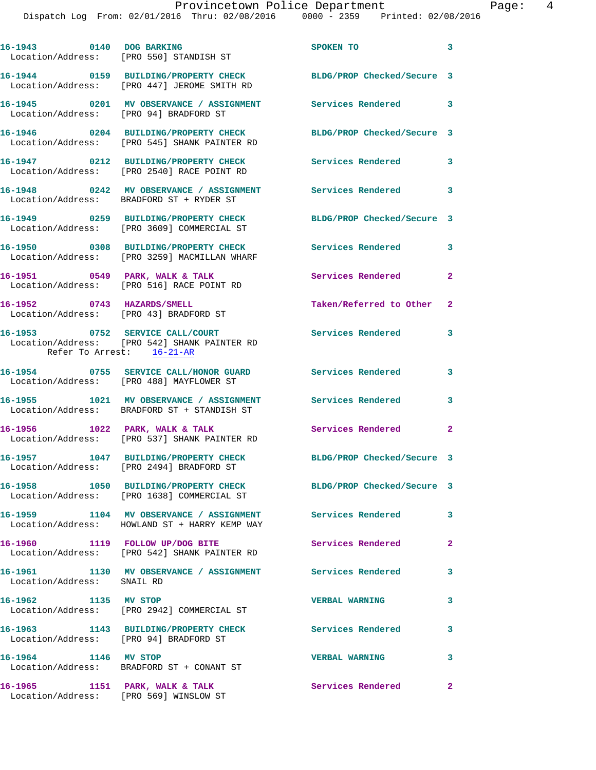| 16-1943   0140   DOG BARKING           | Location/Address: [PRO 550] STANDISH ST                                                                       | SPOKEN TO                                       | $\mathbf{3}$            |
|----------------------------------------|---------------------------------------------------------------------------------------------------------------|-------------------------------------------------|-------------------------|
|                                        | 16-1944 0159 BUILDING/PROPERTY CHECK<br>Location/Address: [PRO 447] JEROME SMITH RD                           | BLDG/PROP Checked/Secure 3                      |                         |
| Location/Address: [PRO 94] BRADFORD ST | 16-1945 0201 MV OBSERVANCE / ASSIGNMENT                                                                       | <b>Services Rendered</b> 3                      |                         |
|                                        | 16-1946 0204 BUILDING/PROPERTY CHECK<br>Location/Address: [PRO 545] SHANK PAINTER RD                          | BLDG/PROP Checked/Secure 3                      |                         |
|                                        | 16-1947 0212 BUILDING/PROPERTY CHECK<br>Location/Address: [PRO 2540] RACE POINT RD                            | <b>Services Rendered</b> 3                      |                         |
|                                        | 16-1948 0242 MV OBSERVANCE / ASSIGNMENT<br>Location/Address: BRADFORD ST + RYDER ST                           | Services Rendered 3                             |                         |
|                                        | 16-1949 0259 BUILDING/PROPERTY CHECK<br>Location/Address: [PRO 3609] COMMERCIAL ST                            | BLDG/PROP Checked/Secure 3                      |                         |
|                                        | 16-1950 0308 BUILDING/PROPERTY CHECK<br>Location/Address: [PRO 3259] MACMILLAN WHARF                          | Services Rendered                               | $\overline{\mathbf{3}}$ |
|                                        | 16-1951 0549 PARK, WALK & TALK<br>Location/Address: [PRO 516] RACE POINT RD                                   | Services Rendered                               | $\mathbf{2}$            |
| 16-1952 0743 HAZARDS/SMELL             | Location/Address: [PRO 43] BRADFORD ST                                                                        | Taken/Referred to Other 2                       |                         |
|                                        | 16-1953 0752 SERVICE CALL/COURT<br>Location/Address: [PRO 542] SHANK PAINTER RD<br>Refer To Arrest: 16-21-AR  | Services Rendered                               | 3                       |
|                                        | 16-1954 0755 SERVICE CALL/HONOR GUARD<br>Location/Address: [PRO 488] MAYFLOWER ST                             | Services Rendered<br>$\overline{\phantom{a}}$ 3 |                         |
|                                        | 16-1955 1021 MV OBSERVANCE / ASSIGNMENT<br>Location/Address: BRADFORD ST + STANDISH ST                        | Services Rendered                               | 3                       |
|                                        | 16-1956 1022 PARK, WALK & TALK<br>Location/Address: [PRO 537] SHANK PAINTER RD                                | Services Rendered                               | $\mathbf{2}$            |
| 16-1957                                | 1047 BUILDING/PROPERTY CHECK<br>Location/Address: [PRO 2494] BRADFORD ST                                      | BLDG/PROP Checked/Secure 3                      |                         |
|                                        | 16-1958 1050 BUILDING/PROPERTY CHECK BLDG/PROP Checked/Secure 3<br>Location/Address: [PRO 1638] COMMERCIAL ST |                                                 |                         |
|                                        | 16-1959 1104 MV OBSERVANCE / ASSIGNMENT<br>Location/Address: HOWLAND ST + HARRY KEMP WAY                      | Services Rendered                               | 3                       |
|                                        | 16-1960 1119 FOLLOW UP/DOG BITE<br>Location/Address: [PRO 542] SHANK PAINTER RD                               | Services Rendered                               | $\overline{2}$          |
| Location/Address: SNAIL RD             | 16-1961 1130 MV OBSERVANCE / ASSIGNMENT Services Rendered                                                     |                                                 | 3                       |
| 16-1962 1135 MV STOP                   | Location/Address: [PRO 2942] COMMERCIAL ST                                                                    | <b>VERBAL WARNING</b>                           | 3                       |
| Location/Address: [PRO 94] BRADFORD ST | 16-1963 1143 BUILDING/PROPERTY CHECK                                                                          | Services Rendered                               | 3                       |
| 16-1964 1146 MV STOP                   | Location/Address: BRADFORD ST + CONANT ST                                                                     | <b>VERBAL WARNING</b>                           | 3                       |
| 16-1965 1151 PARK, WALK & TALK         | Location/Address: [PRO 569] WINSLOW ST                                                                        | <b>Services Rendered</b>                        | $\mathbf{2}$            |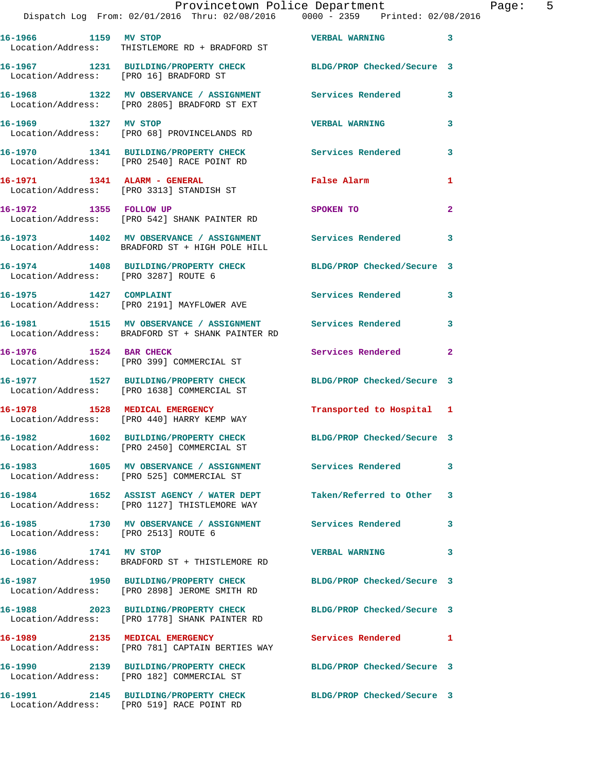|                                      | Dispatch Log From: 02/01/2016 Thru: 02/08/2016   0000 - 2359   Printed: 02/08/2016                               | Provincetown Police Department                                                                                         | Page: 5      |
|--------------------------------------|------------------------------------------------------------------------------------------------------------------|------------------------------------------------------------------------------------------------------------------------|--------------|
| 16-1966 1159 MV STOP                 | Location/Address: THISTLEMORE RD + BRADFORD ST                                                                   | <b>Example 2018 The STATE STATE OF STATE AND STATE OF STATE OF STATE AND STATE OF STATE OF STATE OF STATE OF STATE</b> | 3            |
|                                      | 16-1967 1231 BUILDING/PROPERTY CHECK BLDG/PROP Checked/Secure 3<br>Location/Address: [PRO 16] BRADFORD ST        |                                                                                                                        |              |
|                                      | 16-1968 1322 MV OBSERVANCE / ASSIGNMENT Services Rendered 3<br>Location/Address: [PRO 2805] BRADFORD ST EXT      |                                                                                                                        |              |
|                                      | 16-1969              1327    MV STOP<br>Location/Address:     [PRO 68] PROVINCELANDS RD                          | <b>VERBAL WARNING</b>                                                                                                  | 3            |
|                                      | 16-1970 1341 BUILDING/PROPERTY CHECK Services Rendered<br>Location/Address: [PRO 2540] RACE POINT RD             |                                                                                                                        | $\mathbf{3}$ |
|                                      | 16-1971 1341 ALARM - GENERAL<br>Location/Address: [PRO 3313] STANDISH ST                                         | False Alarm <b>Example 2</b>                                                                                           | 1            |
|                                      | 16-1972 1355 FOLLOW UP<br>Location/Address: [PRO 542] SHANK PAINTER RD                                           | <b>SPOKEN TO</b>                                                                                                       | $\mathbf{2}$ |
|                                      | 16-1973 1402 MV OBSERVANCE / ASSIGNMENT Services Rendered<br>Location/Address: BRADFORD ST + HIGH POLE HILL      |                                                                                                                        | 3            |
| Location/Address: [PRO 3287] ROUTE 6 | 16-1974 1408 BUILDING/PROPERTY CHECK BLDG/PROP Checked/Secure 3                                                  |                                                                                                                        |              |
|                                      | 16-1975 1427 COMPLAINT<br>Location/Address: [PRO 2191] MAYFLOWER AVE                                             | <b>Services Rendered</b>                                                                                               | 3            |
|                                      | 16-1981 1515 MV OBSERVANCE / ASSIGNMENT Services Rendered 3<br>Location/Address: BRADFORD ST + SHANK PAINTER RD  |                                                                                                                        |              |
|                                      | 16-1976 1524 BAR CHECK<br>Location/Address: [PRO 399] COMMERCIAL ST                                              | Services Rendered                                                                                                      | 2            |
|                                      | 16-1977 1527 BUILDING/PROPERTY CHECK BLDG/PROP Checked/Secure 3<br>Location/Address: [PRO 1638] COMMERCIAL ST    |                                                                                                                        |              |
|                                      |                                                                                                                  | Transported to Hospital 1                                                                                              |              |
|                                      | 16-1982 1602 BUILDING/PROPERTY CHECK<br>Location/Address: [PRO 2450] COMMERCIAL ST                               | BLDG/PROP Checked/Secure 3                                                                                             |              |
|                                      | 16-1983 1605 MV OBSERVANCE / ASSIGNMENT Services Rendered<br>Location/Address: [PRO 525] COMMERCIAL ST           |                                                                                                                        | 3            |
|                                      | 16-1984 1652 ASSIST AGENCY / WATER DEPT<br>Location/Address: [PRO 1127] THISTLEMORE WAY                          | Taken/Referred to Other 3                                                                                              |              |
| Location/Address: [PRO 2513] ROUTE 6 | 16-1985 1730 MV OBSERVANCE / ASSIGNMENT Services Rendered                                                        |                                                                                                                        | 3            |
| 16-1986 1741 MV STOP                 | Location/Address: BRADFORD ST + THISTLEMORE RD                                                                   | VERBAL WARNING 3                                                                                                       |              |
|                                      | 16-1987 1950 BUILDING/PROPERTY CHECK BLDG/PROP Checked/Secure 3<br>Location/Address: [PRO 2898] JEROME SMITH RD  |                                                                                                                        |              |
|                                      | 16-1988 2023 BUILDING/PROPERTY CHECK BLDG/PROP Checked/Secure 3<br>Location/Address: [PRO 1778] SHANK PAINTER RD |                                                                                                                        |              |
|                                      | 16-1989 2135 MEDICAL EMERGENCY<br>Location/Address: [PRO 781] CAPTAIN BERTIES WAY                                | Services Rendered 1                                                                                                    |              |
|                                      | 16-1990 2139 BUILDING/PROPERTY CHECK BLDG/PROP Checked/Secure 3<br>Location/Address: [PRO 182] COMMERCIAL ST     |                                                                                                                        |              |
|                                      | 16-1991  2145 BUILDING/PROPERTY CHECK BLDG/PROP Checked/Secure 3                                                 |                                                                                                                        |              |

Location/Address: [PRO 519] RACE POINT RD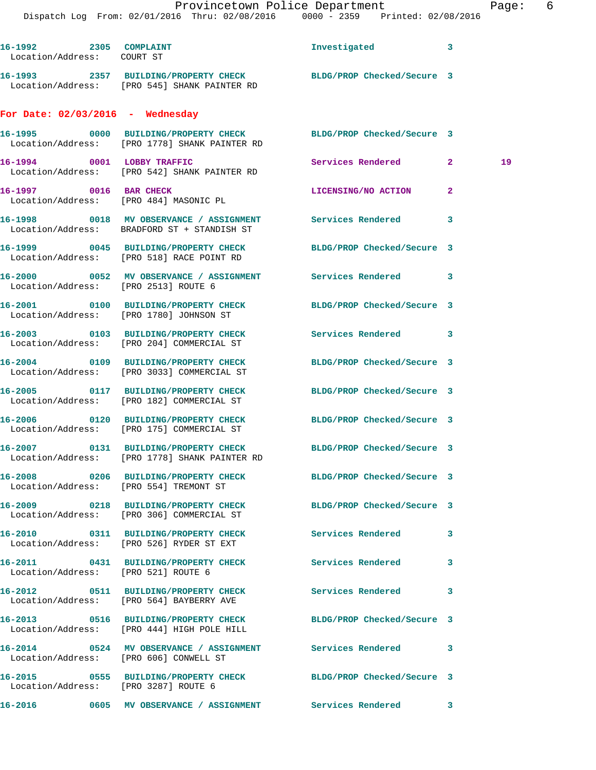|                                                      | Dispatch Log From: 02/01/2016 Thru: 02/08/2016                0000 - 2359   Printed: 02/08/2016                   |                            |              |
|------------------------------------------------------|-------------------------------------------------------------------------------------------------------------------|----------------------------|--------------|
| 16-1992 2305 COMPLAINT<br>Location/Address: COURT ST |                                                                                                                   | Investigated 3             |              |
|                                                      | 16-1993 2357 BUILDING/PROPERTY CHECK BLDG/PROP Checked/Secure 3<br>Location/Address: [PRO 545] SHANK PAINTER RD   |                            |              |
| For Date: $02/03/2016$ - Wednesday                   |                                                                                                                   |                            |              |
|                                                      | 16-1995 0000 BUILDING/PROPERTY CHECK BLDG/PROP Checked/Secure 3<br>Location/Address: [PRO 1778] SHANK PAINTER RD  |                            |              |
|                                                      | 16-1994 0001 LOBBY TRAFFIC<br>Location/Address: [PRO 542] SHANK PAINTER RD                                        | Services Rendered 2        | 19           |
| 16-1997 0016 BAR CHECK                               | Location/Address: [PRO 484] MASONIC PL                                                                            | LICENSING/NO ACTION        | $\mathbf{2}$ |
|                                                      | 16-1998 0018 MV OBSERVANCE / ASSIGNMENT Services Rendered 3<br>Location/Address: BRADFORD ST + STANDISH ST        |                            |              |
|                                                      | 16-1999 0045 BUILDING/PROPERTY CHECK BLDG/PROP Checked/Secure 3<br>Location/Address: [PRO 518] RACE POINT RD      |                            |              |
| Location/Address: [PRO 2513] ROUTE 6                 | 16-2000 0052 MV OBSERVANCE / ASSIGNMENT Services Rendered 3                                                       |                            |              |
|                                                      | 16-2001 0100 BUILDING/PROPERTY CHECK<br>Location/Address: [PRO 1780] JOHNSON ST                                   | BLDG/PROP Checked/Secure 3 |              |
|                                                      | 16-2003 0103 BUILDING/PROPERTY CHECK<br>Location/Address: [PRO 204] COMMERCIAL ST                                 | Services Rendered 3        |              |
|                                                      | 16-2004 0109 BUILDING/PROPERTY CHECK<br>Location/Address: [PRO 3033] COMMERCIAL ST                                | BLDG/PROP Checked/Secure 3 |              |
|                                                      | 16-2005 0117 BUILDING/PROPERTY CHECK<br>Location/Address: [PRO 182] COMMERCIAL ST                                 | BLDG/PROP Checked/Secure 3 |              |
|                                                      | 16-2006 0120 BUILDING/PROPERTY CHECK<br>Location/Address: [PRO 175] COMMERCIAL ST                                 | BLDG/PROP Checked/Secure 3 |              |
|                                                      | 16-2007  0131 BUILDING/PROPERTY CHECK BLDG/PROP Checked/Secure 3<br>Location/Address: [PRO 1778] SHANK PAINTER RD |                            |              |
|                                                      | 16-2008 0206 BUILDING/PROPERTY CHECK BLDG/PROP Checked/Secure 3<br>Location/Address: [PRO 554] TREMONT ST         |                            |              |
|                                                      | 16-2009 0218 BUILDING/PROPERTY CHECK BLDG/PROP Checked/Secure 3<br>Location/Address: [PRO 306] COMMERCIAL ST      |                            |              |
|                                                      | 16-2010 0311 BUILDING/PROPERTY CHECK Services Rendered<br>Location/Address: [PRO 526] RYDER ST EXT                |                            | 3            |
| Location/Address: [PRO 521] ROUTE 6                  | 16-2011 0431 BUILDING/PROPERTY CHECK Services Rendered 3                                                          |                            |              |
|                                                      | 16-2012 0511 BUILDING/PROPERTY CHECK<br>Location/Address: [PRO 564] BAYBERRY AVE                                  | Services Rendered          | 3            |
|                                                      | 16-2013 0516 BUILDING/PROPERTY CHECK BLDG/PROP Checked/Secure 3<br>Location/Address: [PRO 444] HIGH POLE HILL     |                            |              |
|                                                      | 16-2014 0524 MV OBSERVANCE / ASSIGNMENT Services Rendered<br>Location/Address: [PRO 606] CONWELL ST               |                            | 3            |
| Location/Address: [PRO 3287] ROUTE 6                 | 16-2015 0555 BUILDING/PROPERTY CHECK BLDG/PROP Checked/Secure 3                                                   |                            |              |
|                                                      |                                                                                                                   |                            |              |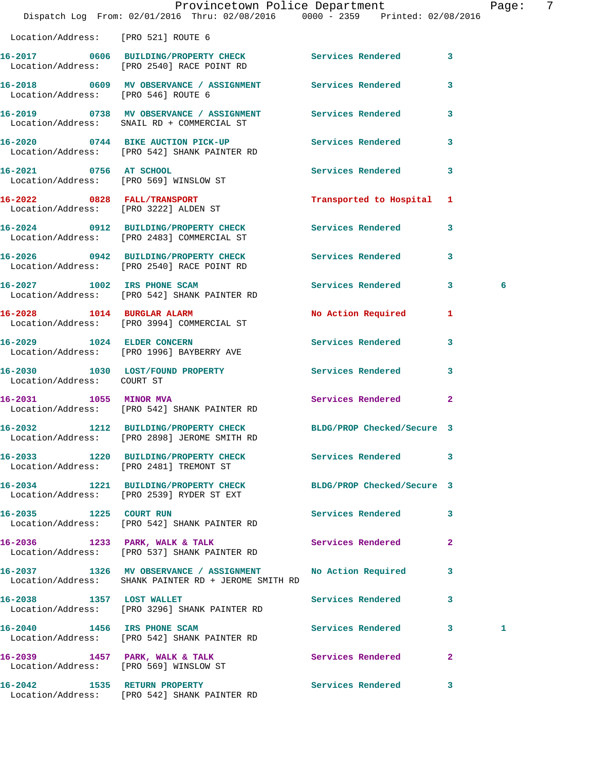|                                                                      | Dispatch Log From: 02/01/2016 Thru: 02/08/2016 0000 - 2359 Printed: 02/08/2016                                       | Provincetown Police Department |              | Page: | -7 |
|----------------------------------------------------------------------|----------------------------------------------------------------------------------------------------------------------|--------------------------------|--------------|-------|----|
| Location/Address: [PRO 521] ROUTE 6                                  |                                                                                                                      |                                |              |       |    |
|                                                                      | 16-2017 0606 BUILDING/PROPERTY CHECK Services Rendered 3<br>Location/Address: [PRO 2540] RACE POINT RD               |                                |              |       |    |
| Location/Address: [PRO 546] ROUTE 6                                  | 16-2018 0609 MV OBSERVANCE / ASSIGNMENT Services Rendered                                                            |                                | $\mathbf{3}$ |       |    |
|                                                                      | 16-2019 0738 MV OBSERVANCE / ASSIGNMENT Services Rendered 3<br>Location/Address: SNAIL RD + COMMERCIAL ST            |                                |              |       |    |
|                                                                      | 16-2020 0744 BIKE AUCTION PICK-UP<br>Location/Address: [PRO 542] SHANK PAINTER RD                                    | Services Rendered 3            |              |       |    |
| 16-2021 0756 AT SCHOOL                                               | Location/Address: [PRO 569] WINSLOW ST                                                                               | Services Rendered 3            |              |       |    |
| 16-2022 0828 FALL/TRANSPORT<br>Location/Address: [PRO 3222] ALDEN ST |                                                                                                                      | Transported to Hospital 1      |              |       |    |
|                                                                      | 16-2024 0912 BUILDING/PROPERTY CHECK Services Rendered<br>Location/Address: [PRO 2483] COMMERCIAL ST                 |                                | $\mathbf{3}$ |       |    |
|                                                                      | 16-2026 0942 BUILDING/PROPERTY CHECK<br>Location/Address: [PRO 2540] RACE POINT RD                                   | Services Rendered 3            |              |       |    |
|                                                                      | 16-2027 1002 IRS PHONE SCAM<br>Location/Address: [PRO 542] SHANK PAINTER RD                                          | Services Rendered 3            |              | 6     |    |
|                                                                      | 16-2028 1014 BURGLAR ALARM<br>Location/Address: [PRO 3994] COMMERCIAL ST                                             | No Action Required 1           |              |       |    |
| 16-2029 1024 ELDER CONCERN                                           | Location/Address: [PRO 1996] BAYBERRY AVE                                                                            | Services Rendered              | 3            |       |    |
| Location/Address: COURT ST                                           | 16-2030 1030 LOST/FOUND PROPERTY Services Rendered 3                                                                 |                                |              |       |    |
| 16-2031 1055 MINOR MVA                                               | Location/Address: [PRO 542] SHANK PAINTER RD                                                                         | Services Rendered              | $\mathbf{2}$ |       |    |
| $16 - 2032$                                                          | 1212 BUILDING/PROPERTY CHECK BLDG/PROP Checked/Secure 3<br>Location/Address: [PRO 2898] JEROME SMITH RD              |                                |              |       |    |
|                                                                      | 16-2033 1220 BUILDING/PROPERTY CHECK Services Rendered 3<br>Location/Address: [PRO 2481] TREMONT ST                  |                                |              |       |    |
|                                                                      | 16-2034 1221 BUILDING/PROPERTY CHECK BLDG/PROP Checked/Secure 3<br>Location/Address: [PRO 2539] RYDER ST EXT         |                                |              |       |    |
|                                                                      | 16-2035 1225 COURT RUN<br>Location/Address: [PRO 542] SHANK PAINTER RD                                               | Services Rendered              | $\mathbf{3}$ |       |    |
|                                                                      | 16-2036 1233 PARK, WALK & TALK<br>Location/Address: [PRO 537] SHANK PAINTER RD                                       | <b>Services Rendered</b>       | $\mathbf{2}$ |       |    |
|                                                                      | 16-2037 1326 MV OBSERVANCE / ASSIGNMENT No Action Required 3<br>Location/Address: SHANK PAINTER RD + JEROME SMITH RD |                                |              |       |    |
|                                                                      | 16-2038 1357 LOST WALLET<br>Location/Address: [PRO 3296] SHANK PAINTER RD                                            | Services Rendered 3            |              |       |    |
|                                                                      | 16-2040 1456 IRS PHONE SCAM<br>Location/Address: [PRO 542] SHANK PAINTER RD                                          | Services Rendered 3            |              | 1     |    |
|                                                                      | 16-2039 1457 PARK, WALK & TALK 1999 Services Rendered 2<br>Location/Address: [PRO 569] WINSLOW ST                    |                                |              |       |    |
|                                                                      | 16-2042 1535 RETURN PROPERTY<br>Location/Address: [PRO 542] SHANK PAINTER RD                                         | Services Rendered 3            |              |       |    |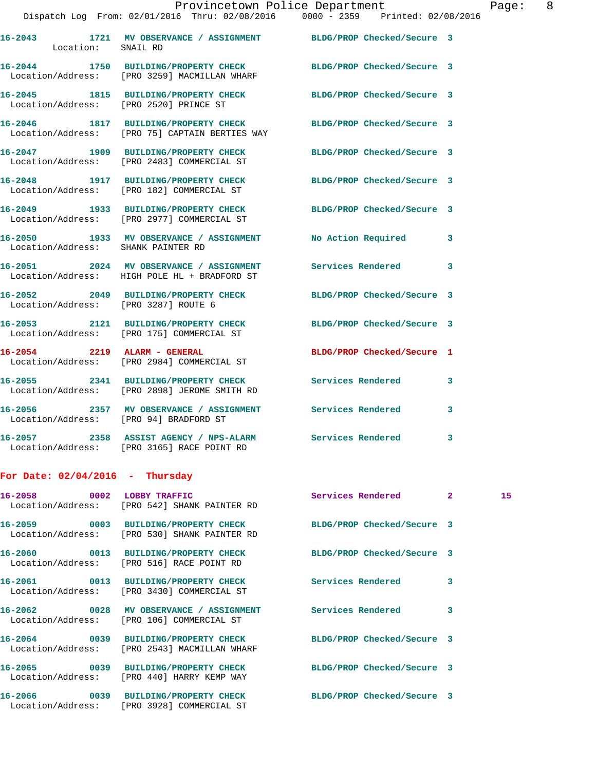| Location: SNAIL RD                     | 16-2043 1721 MV OBSERVANCE / ASSIGNMENT BLDG/PROP Checked/Secure 3                                              |                            |              |    |
|----------------------------------------|-----------------------------------------------------------------------------------------------------------------|----------------------------|--------------|----|
|                                        | 16-2044 1750 BUILDING/PROPERTY CHECK BLDG/PROP Checked/Secure 3<br>Location/Address: [PRO 3259] MACMILLAN WHARF |                            |              |    |
|                                        | 16-2045 1815 BUILDING/PROPERTY CHECK BLDG/PROP Checked/Secure 3<br>  Location/Address: [PRO 2520] PRINCE ST     |                            |              |    |
|                                        | 16-2046 1817 BUILDING/PROPERTY CHECK<br>Location/Address: [PRO 75] CAPTAIN BERTIES WAY                          | BLDG/PROP Checked/Secure 3 |              |    |
|                                        | 16-2047 1909 BUILDING/PROPERTY CHECK<br>Location/Address: [PRO 2483] COMMERCIAL ST                              | BLDG/PROP Checked/Secure 3 |              |    |
|                                        | 16-2048 1917 BUILDING/PROPERTY CHECK<br>Location/Address: [PRO 182] COMMERCIAL ST                               | BLDG/PROP Checked/Secure 3 |              |    |
|                                        | 16-2049 1933 BUILDING/PROPERTY CHECK<br>Location/Address: [PRO 2977] COMMERCIAL ST                              | BLDG/PROP Checked/Secure 3 |              |    |
| Location/Address: SHANK PAINTER RD     | 16-2050 1933 MV OBSERVANCE / ASSIGNMENT No Action Required                                                      |                            | 3            |    |
|                                        | 16-2051 2024 MV OBSERVANCE / ASSIGNMENT Services Rendered 3<br>Location/Address: HIGH POLE HL + BRADFORD ST     |                            |              |    |
| Location/Address: [PRO 3287] ROUTE 6   | 16-2052 2049 BUILDING/PROPERTY CHECK BLDG/PROP Checked/Secure 3                                                 |                            |              |    |
|                                        | 16-2053 2121 BUILDING/PROPERTY CHECK BLDG/PROP Checked/Secure 3<br>Location/Address: [PRO 175] COMMERCIAL ST    |                            |              |    |
|                                        | 16-2054 2219 ALARM - GENERAL<br>Location/Address: [PRO 2984] COMMERCIAL ST                                      | BLDG/PROP Checked/Secure 1 |              |    |
|                                        | 16-2055 2341 BUILDING/PROPERTY CHECK Services Rendered<br>Location/Address: [PRO 2898] JEROME SMITH RD          |                            | 3            |    |
| Location/Address: [PRO 94] BRADFORD ST | 16-2056 2357 MV OBSERVANCE / ASSIGNMENT Services Rendered                                                       |                            | 3            |    |
|                                        | 16-2057 2358 ASSIST AGENCY / NPS-ALARM Services Rendered<br>Location/Address: [PRO 3165] RACE POINT RD          |                            | 3            |    |
| For Date: $02/04/2016$ - Thursday      |                                                                                                                 |                            |              |    |
| 16-2058 0002 LOBBY TRAFFIC             | Location/Address: [PRO 542] SHANK PAINTER RD                                                                    | Services Rendered          | $\mathbf{2}$ | 15 |
|                                        | 16-2059 0003 BUILDING/PROPERTY CHECK<br>Location/Address: [PRO 530] SHANK PAINTER RD                            | BLDG/PROP Checked/Secure 3 |              |    |
|                                        | 16-2060 0013 BUILDING/PROPERTY CHECK<br>Location/Address: [PRO 516] RACE POINT RD                               | BLDG/PROP Checked/Secure 3 |              |    |
|                                        | 16-2061 0013 BUILDING/PROPERTY CHECK<br>Location/Address: [PRO 3430] COMMERCIAL ST                              | <b>Services Rendered</b>   | 3            |    |
|                                        | 16-2062  0028 MV OBSERVANCE / ASSIGNMENT Services Rendered<br>Location/Address: [PRO 106] COMMERCIAL ST         |                            | 3            |    |
|                                        | 16-2064 0039 BUILDING/PROPERTY CHECK<br>Location/Address: [PRO 2543] MACMILLAN WHARF                            | BLDG/PROP Checked/Secure 3 |              |    |
|                                        | 16-2065 0039 BUILDING/PROPERTY CHECK BLDG/PROP Checked/Secure 3<br>Location/Address: [PRO 440] HARRY KEMP WAY   |                            |              |    |

**16-2066 0039 BUILDING/PROPERTY CHECK BLDG/PROP Checked/Secure 3**  Location/Address: [PRO 3928] COMMERCIAL ST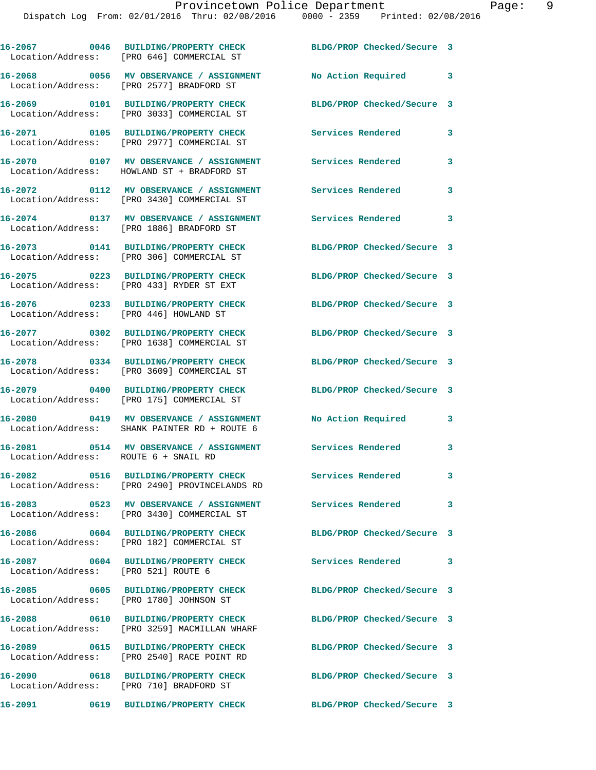|                                        | 16-2067 0046 BUILDING/PROPERTY CHECK<br>Location/Address: [PRO 646] COMMERCIAL ST       | BLDG/PROP Checked/Secure 3 |   |
|----------------------------------------|-----------------------------------------------------------------------------------------|----------------------------|---|
|                                        | 16-2068 0056 MV OBSERVANCE / ASSIGNMENT<br>Location/Address: [PRO 2577] BRADFORD ST     | No Action Required         | 3 |
|                                        | 16-2069 0101 BUILDING/PROPERTY CHECK<br>Location/Address: [PRO 3033] COMMERCIAL ST      | BLDG/PROP Checked/Secure 3 |   |
|                                        | 16-2071 0105 BUILDING/PROPERTY CHECK<br>Location/Address: [PRO 2977] COMMERCIAL ST      | <b>Services Rendered</b>   | 3 |
|                                        | 16-2070 0107 MV OBSERVANCE / ASSIGNMENT<br>Location/Address: HOWLAND ST + BRADFORD ST   | <b>Services Rendered</b>   | 3 |
|                                        | 16-2072 0112 MV OBSERVANCE / ASSIGNMENT<br>Location/Address: [PRO 3430] COMMERCIAL ST   | Services Rendered          | 3 |
|                                        | 16-2074 0137 MV OBSERVANCE / ASSIGNMENT<br>Location/Address: [PRO 1886] BRADFORD ST     | Services Rendered          | 3 |
|                                        | 16-2073 0141 BUILDING/PROPERTY CHECK<br>Location/Address: [PRO 306] COMMERCIAL ST       | BLDG/PROP Checked/Secure 3 |   |
|                                        | 16-2075 0223 BUILDING/PROPERTY CHECK<br>Location/Address: [PRO 433] RYDER ST EXT        | BLDG/PROP Checked/Secure 3 |   |
| Location/Address: [PRO 446] HOWLAND ST | 16-2076 0233 BUILDING/PROPERTY CHECK                                                    | BLDG/PROP Checked/Secure 3 |   |
|                                        | 16-2077 0302 BUILDING/PROPERTY CHECK<br>Location/Address: [PRO 1638] COMMERCIAL ST      | BLDG/PROP Checked/Secure 3 |   |
|                                        | 16-2078 0334 BUILDING/PROPERTY CHECK<br>Location/Address: [PRO 3609] COMMERCIAL ST      | BLDG/PROP Checked/Secure 3 |   |
|                                        | 16-2079 0400 BUILDING/PROPERTY CHECK<br>Location/Address: [PRO 175] COMMERCIAL ST       | BLDG/PROP Checked/Secure 3 |   |
|                                        | 16-2080 0419 MV OBSERVANCE / ASSIGNMENT<br>Location/Address: SHANK PAINTER RD + ROUTE 6 | No Action Required         | 3 |
| Location/Address: ROUTE 6 + SNAIL RD   | 16-2081 0514 MV OBSERVANCE / ASSIGNMENT Services Rendered                               |                            | 3 |
|                                        | Location/Address: [PRO 2490] PROVINCELANDS RD                                           | Services Rendered          | 3 |
|                                        | 16-2083 0523 MV OBSERVANCE / ASSIGNMENT<br>Location/Address: [PRO 3430] COMMERCIAL ST   | Services Rendered          | 3 |
|                                        | 16-2086 0604 BUILDING/PROPERTY CHECK<br>Location/Address: [PRO 182] COMMERCIAL ST       | BLDG/PROP Checked/Secure 3 |   |
| Location/Address: [PRO 521] ROUTE 6    | 16-2087 0604 BUILDING/PROPERTY CHECK                                                    | Services Rendered          | 3 |
|                                        | 16-2085 0605 BUILDING/PROPERTY CHECK<br>Location/Address: [PRO 1780] JOHNSON ST         | BLDG/PROP Checked/Secure 3 |   |
|                                        | 16-2088 0610 BUILDING/PROPERTY CHECK<br>Location/Address: [PRO 3259] MACMILLAN WHARF    | BLDG/PROP Checked/Secure 3 |   |
|                                        | 16-2089 0615 BUILDING/PROPERTY CHECK<br>Location/Address: [PRO 2540] RACE POINT RD      | BLDG/PROP Checked/Secure 3 |   |
|                                        | 16-2090 0618 BUILDING/PROPERTY CHECK<br>Location/Address: [PRO 710] BRADFORD ST         | BLDG/PROP Checked/Secure 3 |   |
| 16-2091                                | 0619 BUILDING/PROPERTY CHECK                                                            | BLDG/PROP Checked/Secure 3 |   |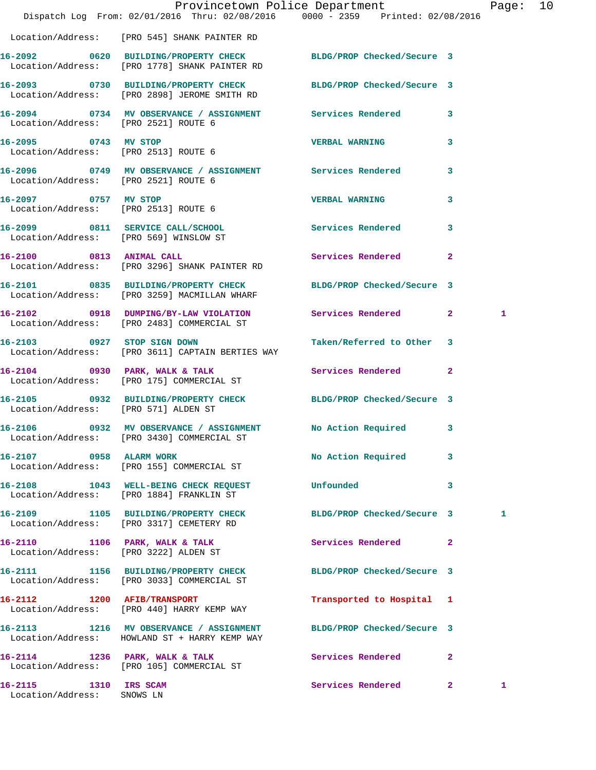|                                                     |                                                                                                                  | Provincetown Police Department |              | Page: 10 |  |
|-----------------------------------------------------|------------------------------------------------------------------------------------------------------------------|--------------------------------|--------------|----------|--|
|                                                     | Location/Address: [PRO 545] SHANK PAINTER RD                                                                     |                                |              |          |  |
|                                                     | 16-2092 0620 BUILDING/PROPERTY CHECK BLDG/PROP Checked/Secure 3<br>Location/Address: [PRO 1778] SHANK PAINTER RD |                                |              |          |  |
|                                                     | 16-2093 0730 BUILDING/PROPERTY CHECK BLDG/PROP Checked/Secure 3<br>Location/Address: [PRO 2898] JEROME SMITH RD  |                                |              |          |  |
| Location/Address: [PRO 2521] ROUTE 6                | 16-2094 0734 MV OBSERVANCE / ASSIGNMENT Services Rendered 3                                                      |                                |              |          |  |
| 16-2095 0743 MV STOP                                | Location/Address: [PRO 2513] ROUTE 6                                                                             | <b>VERBAL WARNING</b>          | $\mathbf{3}$ |          |  |
| Location/Address: [PRO 2521] ROUTE 6                | 16-2096 0749 MV OBSERVANCE / ASSIGNMENT Services Rendered 3                                                      |                                |              |          |  |
| 16-2097 0757 MV STOP                                | Location/Address: [PRO 2513] ROUTE 6                                                                             | <b>VERBAL WARNING</b>          | 3            |          |  |
| Location/Address: [PRO 569] WINSLOW ST              | 16-2099 0811 SERVICE CALL/SCHOOL 5ervices Rendered                                                               |                                | $\mathbf{3}$ |          |  |
|                                                     | 16-2100 0813 ANIMAL CALL<br>Location/Address: [PRO 3296] SHANK PAINTER RD                                        | Services Rendered 2            |              |          |  |
|                                                     | 16-2101 0835 BUILDING/PROPERTY CHECK BLDG/PROP Checked/Secure 3<br>Location/Address: [PRO 3259] MACMILLAN WHARF  |                                |              |          |  |
|                                                     | 16-2102 0918 DUMPING/BY-LAW VIOLATION Services Rendered 2<br>Location/Address: [PRO 2483] COMMERCIAL ST          |                                |              | 1        |  |
| 16-2103 0927 STOP SIGN DOWN                         | Location/Address: [PRO 3611] CAPTAIN BERTIES WAY                                                                 | Taken/Referred to Other 3      |              |          |  |
|                                                     | 16-2104 0930 PARK, WALK & TALK<br>Location/Address: [PRO 175] COMMERCIAL ST                                      | Services Rendered 2            |              |          |  |
| Location/Address: [PRO 571] ALDEN ST                | 16-2105 0932 BUILDING/PROPERTY CHECK BLDG/PROP Checked/Secure 3                                                  |                                |              |          |  |
|                                                     | 16-2106 0932 MV OBSERVANCE / ASSIGNMENT No Action Required 3<br>Location/Address: [PRO 3430] COMMERCIAL ST       |                                |              |          |  |
| 16-2107 0958 ALARM WORK                             | Location/Address: [PRO 155] COMMERCIAL ST                                                                        | No Action Required 3           |              |          |  |
|                                                     | 16-2108 1043 WELL-BEING CHECK REQUEST<br>Location/Address: [PRO 1884] FRANKLIN ST                                | Unfounded                      | 3            |          |  |
|                                                     | 16-2109 1105 BUILDING/PROPERTY CHECK BLDG/PROP Checked/Secure 3<br>Location/Address: [PRO 3317] CEMETERY RD      |                                |              | 1        |  |
|                                                     | 16-2110 1106 PARK, WALK & TALK<br>Location/Address: [PRO 3222] ALDEN ST                                          | <b>Services Rendered</b> 2     |              |          |  |
|                                                     | 16-2111 1156 BUILDING/PROPERTY CHECK BLDG/PROP Checked/Secure 3<br>Location/Address: [PRO 3033] COMMERCIAL ST    |                                |              |          |  |
|                                                     | 16-2112 1200 AFIB/TRANSPORT<br>Location/Address: [PRO 440] HARRY KEMP WAY                                        | Transported to Hospital 1      |              |          |  |
|                                                     | 16-2113 1216 MV OBSERVANCE / ASSIGNMENT<br>Location/Address: HOWLAND ST + HARRY KEMP WAY                         | BLDG/PROP Checked/Secure 3     |              |          |  |
|                                                     | 16-2114 1236 PARK, WALK & TALK<br>Location/Address: [PRO 105] COMMERCIAL ST                                      | Services Rendered 2            |              |          |  |
| 16-2115 1310 IRS SCAM<br>Location/Address: SNOWS LN |                                                                                                                  | Services Rendered 2            |              | 1        |  |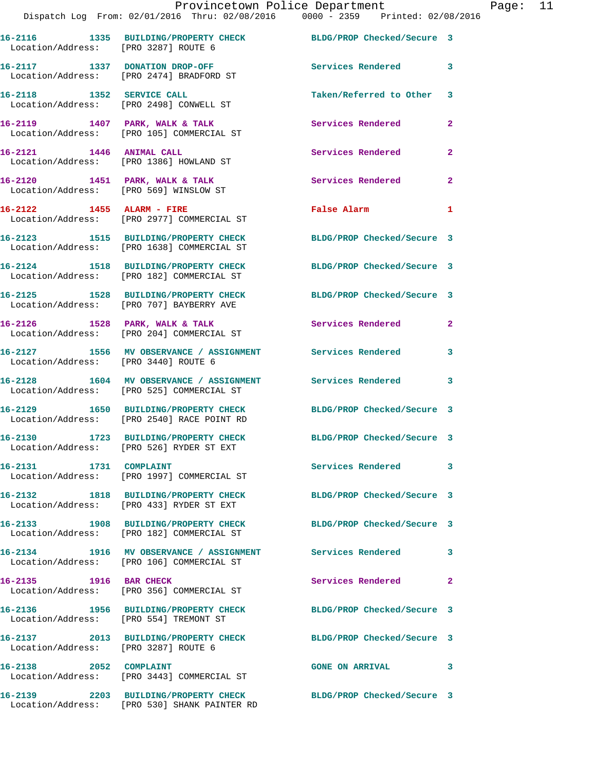|                                        | Provincetown Police Department<br>Dispatch Log From: 02/01/2016 Thru: 02/08/2016 0000 - 2359 Printed: 02/08/2016 |                            |                |
|----------------------------------------|------------------------------------------------------------------------------------------------------------------|----------------------------|----------------|
| Location/Address: [PRO 3287] ROUTE 6   | 16-2116 1335 BUILDING/PROPERTY CHECK BLDG/PROP Checked/Secure 3                                                  |                            |                |
|                                        | 16-2117 1337 DONATION DROP-OFF<br>Location/Address: [PRO 2474] BRADFORD ST                                       | <b>Services Rendered</b>   | 3              |
|                                        | 16-2118 1352 SERVICE CALL<br>Location/Address: [PRO 2498] CONWELL ST                                             | Taken/Referred to Other    | 3              |
|                                        | 16-2119 1407 PARK, WALK & TALK<br>Location/Address: [PRO 105] COMMERCIAL ST                                      | Services Rendered          | $\mathbf{2}$   |
|                                        | 16-2121 1446 ANIMAL CALL<br>Location/Address: [PRO 1386] HOWLAND ST                                              | Services Rendered          | $\overline{a}$ |
| Location/Address: [PRO 569] WINSLOW ST | 16-2120 1451 PARK, WALK & TALK                                                                                   | Services Rendered          | $\mathbf{2}$   |
|                                        | 16-2122 1455 ALARM - FIRE<br>Location/Address: [PRO 2977] COMMERCIAL ST                                          | False Alarm                | 1              |
|                                        | 16-2123 1515 BUILDING/PROPERTY CHECK<br>Location/Address: [PRO 1638] COMMERCIAL ST                               | BLDG/PROP Checked/Secure 3 |                |
|                                        | 16-2124 1518 BUILDING/PROPERTY CHECK<br>Location/Address: [PRO 182] COMMERCIAL ST                                | BLDG/PROP Checked/Secure 3 |                |
|                                        | 16-2125 1528 BUILDING/PROPERTY CHECK<br>Location/Address: [PRO 707] BAYBERRY AVE                                 | BLDG/PROP Checked/Secure 3 |                |
|                                        | 16-2126 1528 PARK, WALK & TALK<br>Location/Address: [PRO 204] COMMERCIAL ST                                      | Services Rendered          | $\overline{2}$ |
| Location/Address: [PRO 3440] ROUTE 6   | 16-2127 1556 MV OBSERVANCE / ASSIGNMENT Services Rendered                                                        |                            | 3              |
|                                        | 16-2128 1604 MV OBSERVANCE / ASSIGNMENT Services Rendered<br>Location/Address: [PRO 525] COMMERCIAL ST           |                            | 3              |
|                                        | 16-2129 1650 BUILDING/PROPERTY CHECK<br>Location/Address: [PRO 2540] RACE POINT RD                               | BLDG/PROP Checked/Secure 3 |                |
|                                        | 16-2130 1723 BUILDING/PROPERTY CHECK<br>Location/Address: [PRO 526] RYDER ST EXT                                 | BLDG/PROP Checked/Secure 3 |                |
| 16-2131 1731 COMPLAINT                 | Location/Address: [PRO 1997] COMMERCIAL ST                                                                       | Services Rendered          | 3              |
|                                        | 16-2132 1818 BUILDING/PROPERTY CHECK<br>Location/Address: [PRO 433] RYDER ST EXT                                 | BLDG/PROP Checked/Secure 3 |                |
|                                        | 16-2133 1908 BUILDING/PROPERTY CHECK<br>Location/Address: [PRO 182] COMMERCIAL ST                                | BLDG/PROP Checked/Secure 3 |                |
|                                        | 16-2134 1916 MV OBSERVANCE / ASSIGNMENT<br>Location/Address: [PRO 106] COMMERCIAL ST                             | Services Rendered          | 3              |
| 16-2135 1916 BAR CHECK                 | Location/Address: [PRO 356] COMMERCIAL ST                                                                        | Services Rendered          | $\mathbf{2}$   |
| Location/Address: [PRO 554] TREMONT ST | 16-2136 1956 BUILDING/PROPERTY CHECK                                                                             | BLDG/PROP Checked/Secure 3 |                |
| Location/Address: [PRO 3287] ROUTE 6   | 16-2137 2013 BUILDING/PROPERTY CHECK                                                                             | BLDG/PROP Checked/Secure 3 |                |
| 16-2138 2052 COMPLAINT                 | Location/Address: [PRO 3443] COMMERCIAL ST                                                                       | <b>GONE ON ARRIVAL</b>     | 3              |
|                                        | 16-2139 2203 BUILDING/PROPERTY CHECK BLDG/PROP Checked/Secure 3                                                  |                            |                |

Location/Address: [PRO 530] SHANK PAINTER RD

Page: 11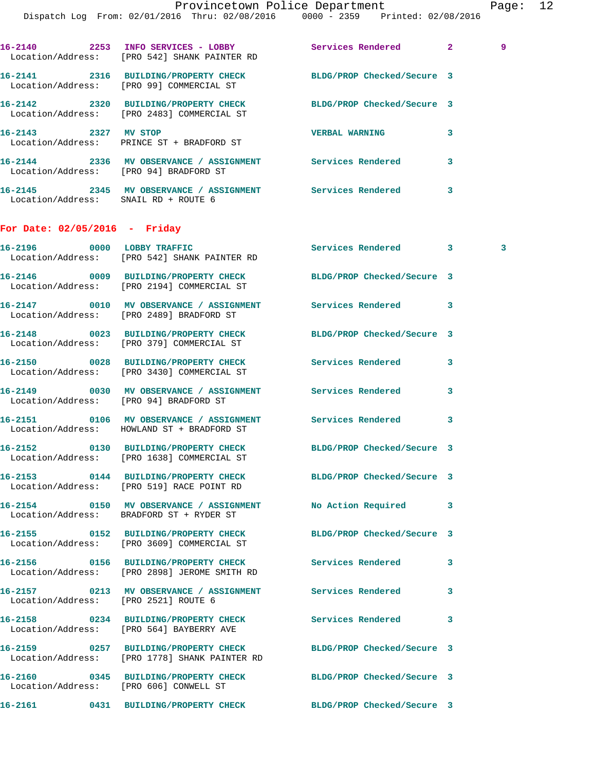Provincetown Police Department Page: 12 Dispatch Log From: 02/01/2016 Thru: 02/08/2016 0000 - 2359 Printed: 02/08/2016 **16-2140 2253 INFO SERVICES - LOBBY Services Rendered 2 9**  Location/Address: [PRO 542] SHANK PAINTER RD **16-2141 2316 BUILDING/PROPERTY CHECK BLDG/PROP Checked/Secure 3**  Location/Address: [PRO 99] COMMERCIAL ST **16-2142 2320 BUILDING/PROPERTY CHECK BLDG/PROP Checked/Secure 3**  Location/Address: [PRO 2483] COMMERCIAL ST **16-2143 2327 MV STOP VERBAL WARNING 3**  Location/Address: PRINCE ST + BRADFORD ST **16-2144 2336 MV OBSERVANCE / ASSIGNMENT Services Rendered 3**  Location/Address: [PRO 94] BRADFORD ST **16-2145 2345 MV OBSERVANCE / ASSIGNMENT Services Rendered 3**  Location/Address: SNAIL RD + ROUTE 6 **For Date: 02/05/2016 - Friday 16-2196 0000 LOBBY TRAFFIC Services Rendered 3 3**  Location/Address: [PRO 542] SHANK PAINTER RD **16-2146 0009 BUILDING/PROPERTY CHECK BLDG/PROP Checked/Secure 3**  Location/Address: [PRO 2194] COMMERCIAL ST **16-2147 0010 MV OBSERVANCE / ASSIGNMENT Services Rendered 3**  Location/Address: [PRO 2489] BRADFORD ST **16-2148 0023 BUILDING/PROPERTY CHECK BLDG/PROP Checked/Secure 3**  Location/Address: [PRO 379] COMMERCIAL ST **16-2150 0028 BUILDING/PROPERTY CHECK Services Rendered 3**  Location/Address: [PRO 3430] COMMERCIAL ST **16-2149 0030 MV OBSERVANCE / ASSIGNMENT Services Rendered 3**  Location/Address: [PRO 94] BRADFORD ST **16-2151 0106 MV OBSERVANCE / ASSIGNMENT Services Rendered 3**  Location/Address: HOWLAND ST + BRADFORD ST **16-2152 0130 BUILDING/PROPERTY CHECK BLDG/PROP Checked/Secure 3**  Location/Address: [PRO 1638] COMMERCIAL ST **16-2153 0144 BUILDING/PROPERTY CHECK BLDG/PROP Checked/Secure 3**  Location/Address: [PRO 519] RACE POINT RD **16-2154 0150 MV OBSERVANCE / ASSIGNMENT No Action Required 3**  Location/Address: BRADFORD ST + RYDER ST **16-2155 0152 BUILDING/PROPERTY CHECK BLDG/PROP Checked/Secure 3**  Location/Address: [PRO 3609] COMMERCIAL ST **16-2156 0156 BUILDING/PROPERTY CHECK Services Rendered 3**  Location/Address: [PRO 2898] JEROME SMITH RD

**16-2157 0213 MV OBSERVANCE / ASSIGNMENT Services Rendered 3**  Location/Address: [PRO 2521] ROUTE 6

**16-2158 0234 BUILDING/PROPERTY CHECK Services Rendered 3**  Location/Address: [PRO 564] BAYBERRY AVE

**16-2159 0257 BUILDING/PROPERTY CHECK BLDG/PROP Checked/Secure 3**  Location/Address: [PRO 1778] SHANK PAINTER RD

**16-2160 0345 BUILDING/PROPERTY CHECK BLDG/PROP Checked/Secure 3**  Location/Address: [PRO 606] CONWELL ST

**16-2161 0431 BUILDING/PROPERTY CHECK BLDG/PROP Checked/Secure 3**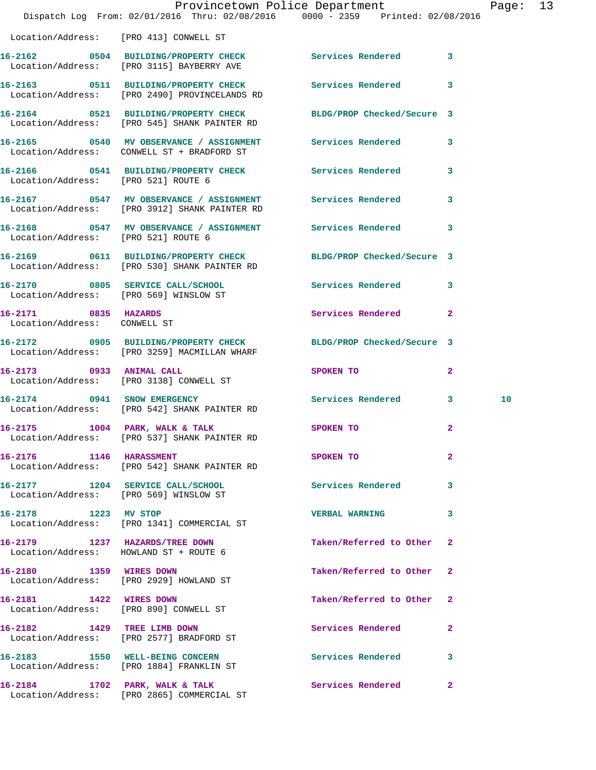|                                                      |                                                                                                                   | Provincetown Police Department Fage: 13 |              |    |  |
|------------------------------------------------------|-------------------------------------------------------------------------------------------------------------------|-----------------------------------------|--------------|----|--|
|                                                      | Dispatch Log From: 02/01/2016 Thru: 02/08/2016 0000 - 2359 Printed: 02/08/2016                                    |                                         |              |    |  |
| Location/Address: [PRO 413] CONWELL ST               |                                                                                                                   |                                         |              |    |  |
|                                                      | 16-2162 0504 BUILDING/PROPERTY CHECK Services Rendered 3<br>Location/Address: [PRO 3115] BAYBERRY AVE             |                                         |              |    |  |
|                                                      | 16-2163   0511   BUILDING/PROPERTY CHECK   Services Rendered   3<br>Location/Address: [PRO 2490] PROVINCELANDS RD |                                         |              |    |  |
|                                                      | 16-2164 0521 BUILDING/PROPERTY CHECK BLDG/PROP Checked/Secure 3<br>Location/Address: [PRO 545] SHANK PAINTER RD   |                                         |              |    |  |
|                                                      | 16-2165 0540 MV OBSERVANCE / ASSIGNMENT Services Rendered 3<br>Location/Address: CONWELL ST + BRADFORD ST         |                                         |              |    |  |
| Location/Address: [PRO 521] ROUTE 6                  | 16-2166 0541 BUILDING/PROPERTY CHECK Services Rendered 3                                                          |                                         |              |    |  |
|                                                      | 16-2167 		 0547 MV OBSERVANCE / ASSIGNMENT Services Rendered 3<br>Location/Address: [PRO 3912] SHANK PAINTER RD   |                                         |              |    |  |
| Location/Address: [PRO 521] ROUTE 6                  | 16-2168 0547 MV OBSERVANCE / ASSIGNMENT Services Rendered 3                                                       |                                         |              |    |  |
|                                                      | 16-2169 0611 BUILDING/PROPERTY CHECK BLDG/PROP Checked/Secure 3<br>Location/Address: [PRO 530] SHANK PAINTER RD   |                                         |              |    |  |
| Location/Address: [PRO 569] WINSLOW ST               | 16-2170 0805 SERVICE CALL/SCHOOL 5ervices Rendered 3                                                              |                                         |              |    |  |
| 16-2171 0835 HAZARDS<br>Location/Address: CONWELL ST |                                                                                                                   | Services Rendered 2                     |              |    |  |
|                                                      | 16-2172 0905 BUILDING/PROPERTY CHECK BLDG/PROP Checked/Secure 3<br>Location/Address: [PRO 3259] MACMILLAN WHARF   |                                         |              |    |  |
|                                                      | 16-2173 0933 ANIMAL CALL<br>Location/Address: [PRO 3138] CONWELL ST                                               | SPOKEN TO                               | $\mathbf{2}$ |    |  |
|                                                      | 16-2174 0941 SNOW EMERGENCY<br>Location/Address: [PRO 542] SHANK PAINTER RD                                       | Services Rendered 3                     |              | 10 |  |
|                                                      | 16-2175 1004 PARK, WALK & TALK<br>Location/Address: [PRO 537] SHANK PAINTER RD                                    | <b>SPOKEN TO</b>                        |              |    |  |
| 16-2176 1146 HARASSMENT                              | Location/Address: [PRO 542] SHANK PAINTER RD                                                                      | SPOKEN TO                               | $\mathbf{2}$ |    |  |
|                                                      | 16-2177 1204 SERVICE CALL/SCHOOL<br>Location/Address: [PRO 569] WINSLOW ST                                        | <b>Services Rendered</b>                | $\mathbf{3}$ |    |  |
| 16-2178 1223 MV STOP                                 | Location/Address: [PRO 1341] COMMERCIAL ST                                                                        | <b>VERBAL WARNING</b>                   | 3            |    |  |
|                                                      | 16-2179 1237 HAZARDS/TREE DOWN<br>Location/Address: HOWLAND ST + ROUTE 6                                          | Taken/Referred to Other 2               |              |    |  |
| 16-2180 1359 WIRES DOWN                              | Location/Address: [PRO 2929] HOWLAND ST                                                                           | Taken/Referred to Other 2               |              |    |  |
| 16-2181 1422 WIRES DOWN                              | Location/Address: [PRO 890] CONWELL ST                                                                            | Taken/Referred to Other 2               |              |    |  |
|                                                      | 16-2182 1429 TREE LIMB DOWN<br>Location/Address: [PRO 2577] BRADFORD ST                                           | Services Rendered                       | 2            |    |  |
|                                                      | 16-2183 1550 WELL-BEING CONCERN<br>Location/Address: [PRO 1884] FRANKLIN ST                                       | Services Rendered                       | 3            |    |  |
|                                                      | 16-2184 1702 PARK, WALK & TALK 1998 Services Rendered 2                                                           |                                         |              |    |  |

Location/Address: [PRO 2865] COMMERCIAL ST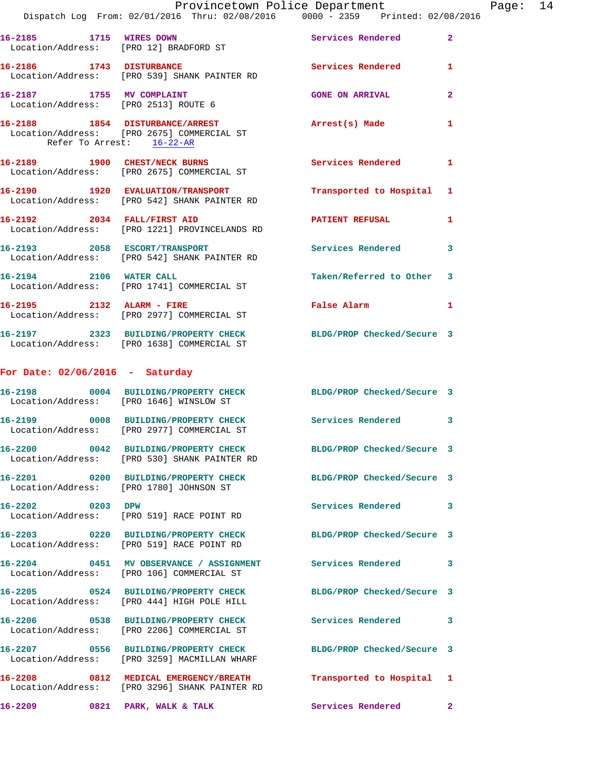|                                                                   | Provincetown Police Department<br>Dispatch Log From: 02/01/2016 Thru: 02/08/2016 0000 - 2359 Printed: 02/08/2016 |                            |                |
|-------------------------------------------------------------------|------------------------------------------------------------------------------------------------------------------|----------------------------|----------------|
| 16-2185 1715 WIRES DOWN                                           | Location/Address: [PRO 12] BRADFORD ST                                                                           | Services Rendered          | $\overline{a}$ |
| 16-2186 1743 DISTURBANCE                                          | Location/Address: [PRO 539] SHANK PAINTER RD                                                                     | <b>Services Rendered</b>   | 1              |
| 16-2187 1755 MV COMPLAINT<br>Location/Address: [PRO 2513] ROUTE 6 |                                                                                                                  | <b>GONE ON ARRIVAL</b>     | $\overline{a}$ |
| Refer To Arrest: 16-22-AR                                         | 16-2188 1854 DISTURBANCE/ARREST<br>Location/Address: [PRO 2675] COMMERCIAL ST                                    | Arrest(s) Made             | 1              |
|                                                                   | 16-2189 1900 CHEST/NECK BURNS<br>Location/Address: [PRO 2675] COMMERCIAL ST                                      | <b>Services Rendered</b>   | 1              |
|                                                                   | 16-2190    1920 EVALUATION/TRANSPORT<br>Location/Address: [PRO 542] SHANK PAINTER RD                             | Transported to Hospital    | 1              |
|                                                                   | 16-2192 2034 FALL/FIRST AID<br>Location/Address: [PRO 1221] PROVINCELANDS RD                                     | <b>PATIENT REFUSAL</b>     | 1              |
|                                                                   | 16-2193 2058 ESCORT/TRANSPORT<br>Location/Address: [PRO 542] SHANK PAINTER RD                                    | <b>Services Rendered</b>   | 3              |
| 16-2194 2106 WATER CALL                                           | Location/Address: [PRO 1741] COMMERCIAL ST                                                                       | Taken/Referred to Other    | 3              |
|                                                                   | 16-2195 2132 ALARM - FIRE<br>Location/Address: [PRO 2977] COMMERCIAL ST                                          | False Alarm                | 1              |
|                                                                   | 16-2197 2323 BUILDING/PROPERTY CHECK BLDG/PROP Checked/Secure 3<br>Location/Address: [PRO 1638] COMMERCIAL ST    |                            |                |
| For Date: $02/06/2016$ - Saturday                                 |                                                                                                                  |                            |                |
| Location/Address: [PRO 1646] WINSLOW ST                           | 16-2198 0004 BUILDING/PROPERTY CHECK BLDG/PROP Checked/Secure 3                                                  |                            |                |
|                                                                   | 16-2199 0008 BUILDING/PROPERTY CHECK<br>Location/Address: [PRO 2977] COMMERCIAL ST                               | <b>Services Rendered</b>   | 3              |
|                                                                   | 16-2200 0042 BUILDING/PROPERTY CHECK<br>Location/Address: [PRO 530] SHANK PAINTER RD                             | BLDG/PROP Checked/Secure 3 |                |
| Location/Address: [PRO 1780] JOHNSON ST                           | 16-2201 0200 BUILDING/PROPERTY CHECK                                                                             | BLDG/PROP Checked/Secure 3 |                |
| 16-2202 0203 DPW                                                  | Location/Address: [PRO 519] RACE POINT RD                                                                        | Services Rendered          | 3              |
|                                                                   | 16-2203 0220 BUILDING/PROPERTY CHECK<br>Location/Address: [PRO 519] RACE POINT RD                                | BLDG/PROP Checked/Secure 3 |                |
|                                                                   | 16-2204 0451 MV OBSERVANCE / ASSIGNMENT<br>Location/Address: [PRO 106] COMMERCIAL ST                             | <b>Services Rendered</b>   | 3              |
|                                                                   | 16-2205 0524 BUILDING/PROPERTY CHECK<br>Location/Address: [PRO 444] HIGH POLE HILL                               | BLDG/PROP Checked/Secure 3 |                |
|                                                                   | 16-2206 		 0538 BUILDING/PROPERTY CHECK Services Rendered<br>Location/Address: [PRO 2206] COMMERCIAL ST          |                            | 3              |
|                                                                   | 16-2207 0556 BUILDING/PROPERTY CHECK<br>Location/Address: [PRO 3259] MACMILLAN WHARF                             | BLDG/PROP Checked/Secure 3 |                |
|                                                                   | 16-2208 0812 MEDICAL EMERGENCY/BREATH<br>Location/Address: [PRO 3296] SHANK PAINTER RD                           | Transported to Hospital    | 1              |
| 16-2209 0821 PARK, WALK & TALK                                    |                                                                                                                  | Services Rendered          | 2              |

Page:  $14$ <br>2016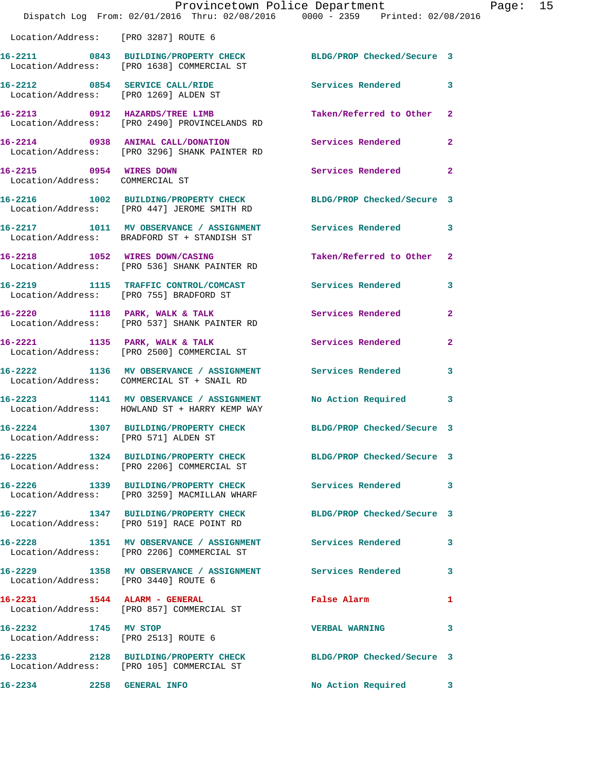|                                                            | Provincetown Police Department                                                                                 |                            |                |
|------------------------------------------------------------|----------------------------------------------------------------------------------------------------------------|----------------------------|----------------|
|                                                            | Dispatch Log From: 02/01/2016 Thru: 02/08/2016 0000 - 2359 Printed: 02/08/2016                                 |                            |                |
|                                                            | Location/Address: [PRO 3287] ROUTE 6                                                                           |                            |                |
|                                                            | 16-2211 0843 BUILDING/PROPERTY CHECK BLDG/PROP Checked/Secure 3<br>Location/Address: [PRO 1638] COMMERCIAL ST  |                            |                |
|                                                            | 16-2212 0854 SERVICE CALL/RIDE<br>Location/Address: [PRO 1269] ALDEN ST                                        | Services Rendered 3        |                |
|                                                            | 16-2213 0912 HAZARDS/TREE LIMB<br>Location/Address: [PRO 2490] PROVINCELANDS RD                                | Taken/Referred to Other    | $\mathbf{2}$   |
|                                                            | 16-2214 0938 ANIMAL CALL/DONATION Services Rendered<br>Location/Address: [PRO 3296] SHANK PAINTER RD           |                            | $\overline{2}$ |
| 16-2215 0954 WIRES DOWN<br>Location/Address: COMMERCIAL ST |                                                                                                                | Services Rendered          | $\mathbf{2}$   |
|                                                            | 16-2216 1002 BUILDING/PROPERTY CHECK BLDG/PROP Checked/Secure 3<br>Location/Address: [PRO 447] JEROME SMITH RD |                            |                |
|                                                            | 16-2217 1011 MV OBSERVANCE / ASSIGNMENT Services Rendered<br>Location/Address: BRADFORD ST + STANDISH ST       |                            | 3              |
|                                                            | 16-2218 1052 WIRES DOWN/CASING<br>Location/Address: [PRO 536] SHANK PAINTER RD                                 | Taken/Referred to Other    | $\mathbf{2}$   |
|                                                            | 16-2219 1115 TRAFFIC CONTROL/COMCAST<br>Location/Address: [PRO 755] BRADFORD ST                                | Services Rendered          | 3              |
|                                                            | 16-2220 1118 PARK, WALK & TALK<br>Location/Address: [PRO 537] SHANK PAINTER RD                                 | <b>Services Rendered</b>   | $\mathbf{2}$   |
|                                                            | 16-2221 1135 PARK, WALK & TALK<br>Location/Address: [PRO 2500] COMMERCIAL ST                                   | <b>Services Rendered</b>   | $\overline{a}$ |
|                                                            | 16-2222 1136 MV OBSERVANCE / ASSIGNMENT Services Rendered<br>Location/Address: COMMERCIAL ST + SNAIL RD        |                            | 3              |
|                                                            | 16-2223 1141 MV OBSERVANCE / ASSIGNMENT NO Action Required 3<br>Location/Address: HOWLAND ST + HARRY KEMP WAY  |                            |                |
| Location/Address: [PRO 571] ALDEN ST                       | 16-2224 1307 BUILDING/PROPERTY CHECK                                                                           | BLDG/PROP Checked/Secure 3 |                |
|                                                            | 16-2225 1324 BUILDING/PROPERTY CHECK<br>Location/Address: [PRO 2206] COMMERCIAL ST                             | BLDG/PROP Checked/Secure 3 |                |
|                                                            | 16-2226 1339 BUILDING/PROPERTY CHECK Services Rendered<br>Location/Address: [PRO 3259] MACMILLAN WHARF         |                            | 3              |
|                                                            | 16-2227 1347 BUILDING/PROPERTY CHECK<br>Location/Address: [PRO 519] RACE POINT RD                              | BLDG/PROP Checked/Secure 3 |                |
|                                                            | 16-2228 1351 MV OBSERVANCE / ASSIGNMENT Services Rendered<br>Location/Address: [PRO 2206] COMMERCIAL ST        |                            | 3              |
| Location/Address: [PRO 3440] ROUTE 6                       | 16-2229 1358 MV OBSERVANCE / ASSIGNMENT Services Rendered                                                      |                            | 3              |
|                                                            | 16-2231 1544 ALARM - GENERAL<br>Location/Address: [PRO 857] COMMERCIAL ST                                      | False Alarm                | 1              |
| 16-2232 1745 MV STOP                                       | Location/Address: [PRO 2513] ROUTE 6                                                                           | <b>VERBAL WARNING</b>      | 3              |
|                                                            | 16-2233 2128 BUILDING/PROPERTY CHECK BLDG/PROP Checked/Secure 3<br>Location/Address: [PRO 105] COMMERCIAL ST   |                            |                |
| 16-2234 2258 GENERAL INFO                                  |                                                                                                                | No Action Required 3       |                |

Page: 15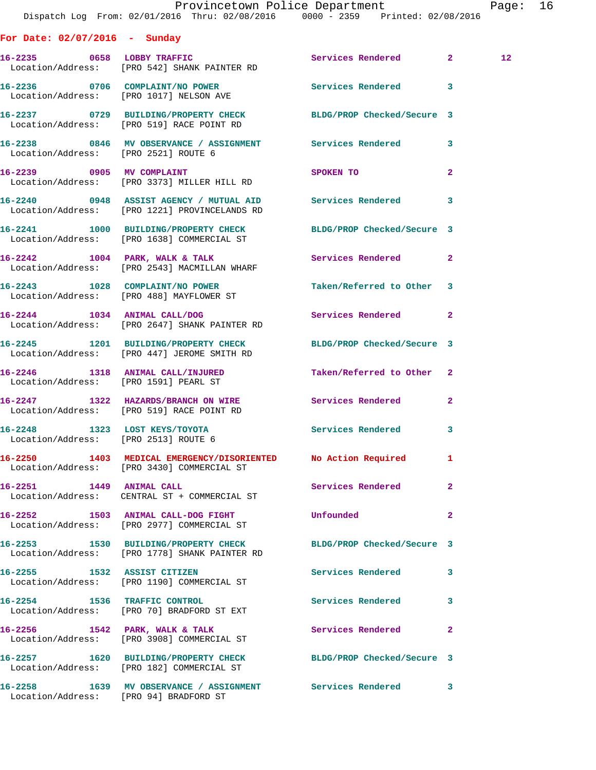|                                        | Provincetown Police Department<br>Dispatch Log From: 02/01/2016 Thru: 02/08/2016   0000 - 2359   Printed: 02/08/2016 |                            |              | Page: 16        |  |
|----------------------------------------|----------------------------------------------------------------------------------------------------------------------|----------------------------|--------------|-----------------|--|
| For Date: $02/07/2016$ - Sunday        |                                                                                                                      |                            |              |                 |  |
|                                        |                                                                                                                      | Services Rendered 2        |              | 12 <sup>1</sup> |  |
|                                        | 16-2236 0706 COMPLAINT/NO POWER Services Rendered 3<br>Location/Address: [PRO 1017] NELSON AVE                       |                            |              |                 |  |
|                                        | 16-2237  0729  BUILDING/PROPERTY CHECK BLDG/PROP Checked/Secure 3<br>Location/Address: [PRO 519] RACE POINT RD       |                            |              |                 |  |
| Location/Address: [PRO 2521] ROUTE 6   | 16-2238 0846 MV OBSERVANCE / ASSIGNMENT Services Rendered 3                                                          |                            |              |                 |  |
|                                        | 16-2239 0905 MV COMPLAINT<br>Location/Address: [PRO 3373] MILLER HILL RD                                             | <b>SPOKEN TO</b>           | $\mathbf{2}$ |                 |  |
|                                        | 16-2240 0948 ASSIST AGENCY / MUTUAL AID Services Rendered 3<br>Location/Address: [PRO 1221] PROVINCELANDS RD         |                            |              |                 |  |
|                                        | 16-2241 1000 BUILDING/PROPERTY CHECK BLDG/PROP Checked/Secure 3<br>Location/Address: [PRO 1638] COMMERCIAL ST        |                            |              |                 |  |
|                                        | 16-2242 1004 PARK, WALK & TALK Services Rendered 2<br>Location/Address: [PRO 2543] MACMILLAN WHARF                   |                            |              |                 |  |
|                                        | 16-2243 1028 COMPLAINT/NO POWER<br>Location/Address: [PRO 488] MAYFLOWER ST                                          | Taken/Referred to Other 3  |              |                 |  |
|                                        | 16-2244 1034 ANIMAL CALL/DOG<br>Location/Address: [PRO 2647] SHANK PAINTER RD                                        | Services Rendered 2        |              |                 |  |
|                                        | 16-2245 1201 BUILDING/PROPERTY CHECK BLDG/PROP Checked/Secure 3<br>Location/Address: [PRO 447] JEROME SMITH RD       |                            |              |                 |  |
| Location/Address: [PRO 1591] PEARL ST  | 16-2246 1318 ANIMAL CALL/INJURED                                                                                     | Taken/Referred to Other 2  |              |                 |  |
|                                        | 16-2247 1322 HAZARDS/BRANCH ON WIRE Services Rendered<br>Location/Address: [PRO 519] RACE POINT RD                   |                            | $\mathbf{2}$ |                 |  |
| Location/Address: [PRO 2513] ROUTE 6   | 16-2248 1323 LOST KEYS/TOYOTA                                                                                        | Services Rendered 3        |              |                 |  |
|                                        | 16-2250 1403 MEDICAL EMERGENCY/DISORIENTED No Action Required 1<br>Location/Address: [PRO 3430] COMMERCIAL ST        |                            |              |                 |  |
|                                        | 16-2251 1449 ANIMAL CALL<br>Location/Address: CENTRAL ST + COMMERCIAL ST                                             | Services Rendered 2        |              |                 |  |
|                                        | 16-2252 1503 ANIMAL CALL-DOG FIGHT Unfounded<br>Location/Address: [PRO 2977] COMMERCIAL ST                           |                            | $\mathbf{2}$ |                 |  |
|                                        | 16-2253 1530 BUILDING/PROPERTY CHECK<br>Location/Address: [PRO 1778] SHANK PAINTER RD                                | BLDG/PROP Checked/Secure 3 |              |                 |  |
| 16-2255 1532 ASSIST CITIZEN            | Location/Address: [PRO 1190] COMMERCIAL ST                                                                           | Services Rendered 3        |              |                 |  |
|                                        | 16-2254 1536 TRAFFIC CONTROL<br>Location/Address: [PRO 70] BRADFORD ST EXT                                           | Services Rendered 3        |              |                 |  |
|                                        | 16-2256 1542 PARK, WALK & TALK 1999 Services Rendered 2<br>Location/Address: [PRO 3908] COMMERCIAL ST                |                            |              |                 |  |
|                                        | 16-2257 1620 BUILDING/PROPERTY CHECK BLDG/PROP Checked/Secure 3<br>Location/Address: [PRO 182] COMMERCIAL ST         |                            |              |                 |  |
| Location/Address: [PRO 94] BRADFORD ST | 16-2258 1639 MV OBSERVANCE / ASSIGNMENT Services Rendered 3                                                          |                            |              |                 |  |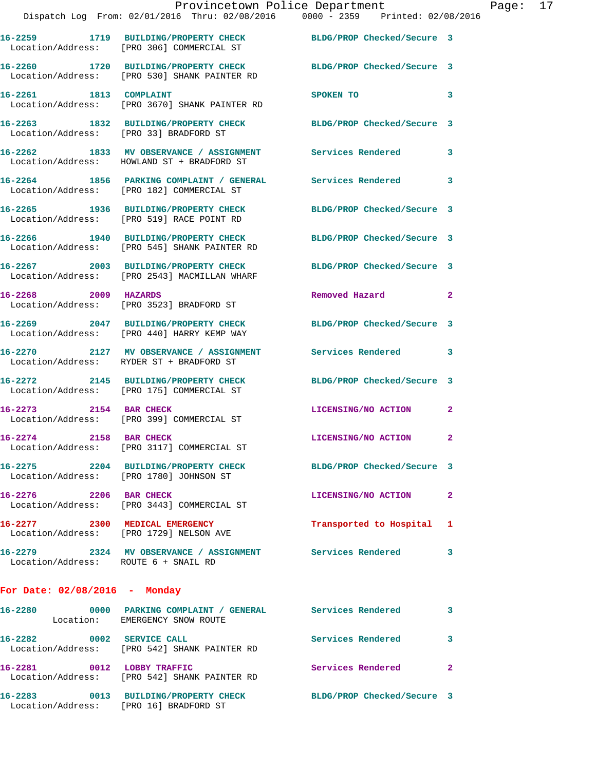|                                         | Provincetown Police Department<br>Dispatch Log From: 02/01/2016 Thru: 02/08/2016 0000 - 2359 Printed: 02/08/2016 |                            |              |
|-----------------------------------------|------------------------------------------------------------------------------------------------------------------|----------------------------|--------------|
|                                         |                                                                                                                  |                            |              |
|                                         | 16-2259 1719 BUILDING/PROPERTY CHECK BLDG/PROP Checked/Secure 3<br>Location/Address: [PRO 306] COMMERCIAL ST     |                            |              |
|                                         | 16-2260 1720 BUILDING/PROPERTY CHECK BLDG/PROP Checked/Secure 3<br>Location/Address: [PRO 530] SHANK PAINTER RD  |                            |              |
|                                         | 16-2261 1813 COMPLAINT<br>Location/Address: [PRO 3670] SHANK PAINTER RD                                          | SPOKEN TO                  | 3            |
| Location/Address: [PRO 33] BRADFORD ST  | 16-2263 1832 BUILDING/PROPERTY CHECK BLDG/PROP Checked/Secure 3                                                  |                            |              |
|                                         | 16-2262 1833 MV OBSERVANCE / ASSIGNMENT Services Rendered<br>Location/Address: HOWLAND ST + BRADFORD ST          |                            | 3            |
|                                         | 16-2264 1856 PARKING COMPLAINT / GENERAL Services Rendered<br>Location/Address: [PRO 182] COMMERCIAL ST          |                            | 3            |
|                                         | 16-2265 1936 BUILDING/PROPERTY CHECK<br>Location/Address: [PRO 519] RACE POINT RD                                | BLDG/PROP Checked/Secure 3 |              |
|                                         | 16-2266 1940 BUILDING/PROPERTY CHECK BLDG/PROP Checked/Secure 3<br>Location/Address: [PRO 545] SHANK PAINTER RD  |                            |              |
|                                         | 16-2267 2003 BUILDING/PROPERTY CHECK<br>Location/Address: [PRO 2543] MACMILLAN WHARF                             | BLDG/PROP Checked/Secure 3 |              |
| 16-2268 2009 HAZARDS                    | Location/Address: [PRO 3523] BRADFORD ST                                                                         | Removed Hazard             | $\mathbf{2}$ |
|                                         | 16-2269 2047 BUILDING/PROPERTY CHECK BLDG/PROP Checked/Secure 3<br>Location/Address: [PRO 440] HARRY KEMP WAY    |                            |              |
|                                         | 16-2270 2127 MV OBSERVANCE / ASSIGNMENT Services Rendered<br>Location/Address: RYDER ST + BRADFORD ST            |                            | 3            |
|                                         | 16-2272 2145 BUILDING/PROPERTY CHECK BLDG/PROP Checked/Secure 3<br>Location/Address: [PRO 175] COMMERCIAL ST     |                            |              |
| 16-2273 2154 BAR CHECK                  | Location/Address: [PRO 399] COMMERCIAL ST                                                                        | LICENSING/NO ACTION        | $\mathbf{2}$ |
| 16-2274 2158 BAR CHECK                  | Location/Address: [PRO 3117] COMMERCIAL ST                                                                       | LICENSING/NO ACTION 2      |              |
| Location/Address: [PRO 1780] JOHNSON ST | 16-2275 2204 BUILDING/PROPERTY CHECK BLDG/PROP Checked/Secure 3                                                  |                            |              |
| 16-2276 2206 BAR CHECK                  | Location/Address: [PRO 3443] COMMERCIAL ST                                                                       | LICENSING/NO ACTION        | $\mathbf{2}$ |
|                                         | 16-2277 2300 MEDICAL EMERGENCY<br>Location/Address: [PRO 1729] NELSON AVE                                        | Transported to Hospital    | 1            |
| Location/Address: ROUTE 6 + SNAIL RD    | 16-2279 2324 MV OBSERVANCE / ASSIGNMENT Services Rendered                                                        |                            | 3            |
| For Date: $02/08/2016$ - Monday         |                                                                                                                  |                            |              |
|                                         | Location: EMERGENCY SNOW ROUTE                                                                                   |                            | 3            |
|                                         | 16-2282 0002 SERVICE CALL<br>Location/Address: [PRO 542] SHANK PAINTER RD                                        | <b>Services Rendered</b>   | 3            |
| 16-2281 0012 LOBBY TRAFFIC              |                                                                                                                  | <b>Services Rendered</b>   | $\mathbf{2}$ |

**16-2283 0013 BUILDING/PROPERTY CHECK BLDG/PROP Checked/Secure 3**  Location/Address: [PRO 16] BRADFORD ST

Location/Address: [PRO 542] SHANK PAINTER RD

Page:  $17$ <br>16